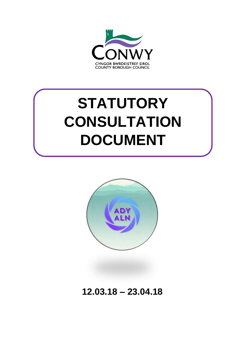

# **STATUTORY CONSULTATION DOCUMENT**



**12.03.18 – 23.04.18**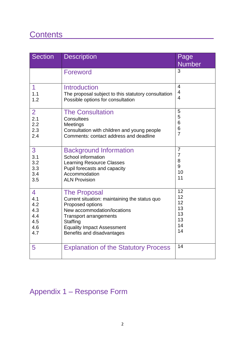# Contents\_\_\_\_\_\_\_\_\_\_\_\_\_\_\_\_\_\_\_\_\_\_\_\_\_\_\_\_\_\_\_\_\_

| <b>Section</b> | <b>Description</b>                                  | Page           |
|----------------|-----------------------------------------------------|----------------|
|                |                                                     | <b>Number</b>  |
|                | Foreword                                            | 3              |
| 1              | <b>Introduction</b>                                 | $\overline{4}$ |
| 1.1            | The proposal subject to this statutory consultation | $\overline{4}$ |
| 1.2            | Possible options for consultation                   | $\overline{4}$ |
| $\overline{2}$ | <b>The Consultation</b>                             | 5              |
| 2.1            | Consultees                                          | 5              |
| 2.2            | Meetings                                            | 6              |
| 2.3            | Consultation with children and young people         | 6              |
| 2.4            | Comments: contact address and deadline              | $\overline{7}$ |
| 3              | <b>Background Information</b>                       | $\overline{7}$ |
| 3.1            | School information                                  | 7              |
| 3.2            | <b>Learning Resource Classes</b>                    | 8              |
| 3.3            | Pupil forecasts and capacity                        | 9              |
| 3.4            | Accommodation                                       | 10             |
| 3.5            | <b>ALN Provision</b>                                | 11             |
| 4              | <b>The Proposal</b>                                 | 12             |
| 4.1            | Current situation: maintaining the status quo       | 12             |
| 4.2            | Proposed options                                    | 12             |
| 4.3            | New accommodation/locations                         | 13             |
| 4.4            | <b>Transport arrangements</b>                       | 13             |
| 4.5            | Staffing                                            | 13             |
| 4.6            | <b>Equality Impact Assessment</b>                   | 14             |
| 4.7            | Benefits and disadvantages                          | 14             |
| 5              | <b>Explanation of the Statutory Process</b>         | 14             |

# Appendix 1 – Response Form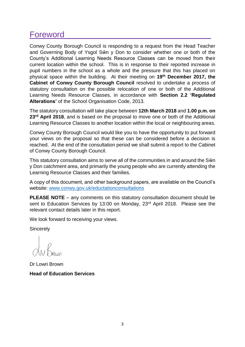### **Foreword**

Conwy County Borough Council is responding to a request from the Head Teacher and Governing Body of Ysgol Sŵn y Don to consider whether one or both of the County's Additional Learning Needs Resource Classes can be moved from their current location within the school. This is in response to their reported increase in pupil numbers in the school as a whole and the pressure that this has placed on physical space within the building. At their meeting on **19th December 2017, the Cabinet of Conwy County Borough Council** resolved to undertake a process of statutory consultation on the possible relocation of one or both of the Additional Learning Needs Resource Classes, in accordance with **Section 2.2 'Regulated Alterations'** of the School Organisation Code, 2013.

The statutory consultation will take place between **12th March 2018** and **1.00 p.m. on 23rd April 2018**, and is based on the proposal to move one or both of the Additional Learning Resource Classes to another location within the local or neighbouring areas.

Conwy County Borough Council would like you to have the opportunity to put forward your views on the proposal so that these can be considered before a decision is reached. At the end of the consultation period we shall submit a report to the Cabinet of Conwy County Borough Council.

This statutory consultation aims to serve all of the communities in and around the Sŵn y Don catchment area, and primarily the young people who are currently attending the Learning Resource Classes and their families.

A copy of this document, and other background papers, are available on the Council's website: [www.conwy.gov.uk/eductationconsultations](http://www.conwy.gov.uk/eductationconsultations)

**PLEASE NOTE** – any comments on this statutory consultation document should be sent to Education Services by 13:00 on Monday, 23<sup>rd</sup> April 2018. Please see the relevant contact details later in this report.

We look forward to receiving your views.

**Sincerely** 

Dr Lowri Brown **Head of Education Services**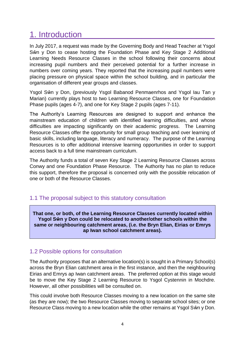## 1. Introduction

In July 2017, a request was made by the Governing Body and Head Teacher at Ysgol Sŵn y Don to cease hosting the Foundation Phase and Key Stage 2 Additional Learning Needs Resource Classes in the school following their concerns about increasing pupil numbers and their perceived potential for a further increase in numbers over coming years. They reported that the increasing pupil numbers were placing pressure on physical space within the school building, and in particular the organisation of different year groups and classes.

Ysgol Sŵn y Don, (previously Ysgol Babanod Penmaenrhos and Ysgol Iau Tan y Marian) currently plays host to two Learning Resource Classes, one for Foundation Phase pupils (ages 4-7), and one for Key Stage 2 pupils (ages 7-11).

The Authority's Learning Resources are designed to support and enhance the mainstream education of children with identified learning difficulties, and whose difficulties are impacting significantly on their academic progress. The Learning Resource Classes offer the opportunity for small group teaching and over learning of basic skills, including language, literacy and numeracy. The purpose of the Learning Resources is to offer additional intensive learning opportunities in order to support access back to a full time mainstream curriculum.

The Authority funds a total of seven Key Stage 2 Learning Resource Classes across Conwy and one Foundation Phase Resource. The Authority has no plan to reduce this support, therefore the proposal is concerned only with the possible relocation of one or both of the Resource Classes.

#### 1.1 The proposal subject to this statutory consultation

**That one, or both, of the Learning Resource Classes currently located within Ysgol Sŵn y Don could be relocated to another/other schools within the same or neighbouring catchment areas, (i.e. the Bryn Elian, Eirias or Emrys ap Iwan school catchment areas).**

#### 1.2 Possible options for consultation

The Authority proposes that an alternative location(s) is sought in a Primary School(s) across the Bryn Elian catchment area in the first instance, and then the neighbouring Eirias and Emrys ap Iwan catchment areas. The preferred option at this stage would be to move the Key Stage 2 Learning Resource to Ysgol Cystennin in Mochdre. However, all other possibilities will be consulted on.

This could involve both Resource Classes moving to a new location on the same site (as they are now); the two Resource Classes moving to separate school sites; or one Resource Class moving to a new location while the other remains at Ysgol Sŵn y Don.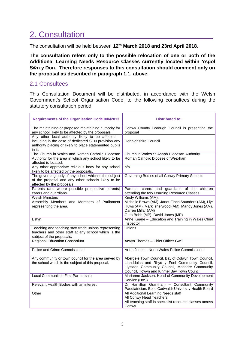# 2. Consultation

The consultation will be held between **12th March 2018 and 23rd April 2018**.

**The consultation refers only to the possible relocation of one or both of the Additional Learning Needs Resource Classes currently located within Ysgol Sŵn y Don. Therefore responses to this consultation should comment only on the proposal as described in paragraph 1.1. above.**

#### 2.1 Consultees

This Consultation Document will be distributed, in accordance with the Welsh Government's School Organisation Code, to the following consultees during the statutory consultation period:

| <b>Requirements of the Organisation Code 006/2013</b>                                                                                                                          | <b>Distributed to:</b>                                                                                                                                                                             |
|--------------------------------------------------------------------------------------------------------------------------------------------------------------------------------|----------------------------------------------------------------------------------------------------------------------------------------------------------------------------------------------------|
| The maintaining or proposed maintaining authority for<br>any school likely to be affected by the proposals.                                                                    | Conwy County Borough Council is presenting the<br>proposal                                                                                                                                         |
| Any other local authority likely to be affected -<br>including in the case of dedicated SEN provision any<br>authority placing or likely to place statemented pupils<br>in it. | Denbighshire Council                                                                                                                                                                               |
| The Church in Wales and Roman Catholic Diocesan<br>Authority for the area in which any school likely to be<br>affected is located.                                             | Church in Wales St Asaph Diocesan Authority<br>Roman Catholic Diocese of Wrexham                                                                                                                   |
| Any other appropriate religious body for any school<br>likely to be affected by the proposals.                                                                                 | n/a                                                                                                                                                                                                |
| The governing body of any school which is the subject<br>of the proposal and any other schools likely to be<br>affected by the proposals.                                      | Governing Bodies of all Conwy Primary Schools                                                                                                                                                      |
| Parents (and where possible prospective parents)<br>carers and guardians.                                                                                                      | Parents, carers and guardians of the children<br>attending the two Learning Resource Classes.                                                                                                      |
| <b>Welsh Ministers</b>                                                                                                                                                         | Kirsty Williams (AM).                                                                                                                                                                              |
| Assembly Members and Members of Parliament<br>representing the area.                                                                                                           | Michelle Brown (AM), Janet-Finch Saunders (AM), Llŷr<br>Huws (AM), Mark Isherwood (AM), Mandy Jones (AM),<br>Darren Millar (AM)<br>Guto Bebb (MP), David Jones (MP)                                |
| Estyn                                                                                                                                                                          | Anne Keane - Education and Training in Wales Chief<br>Inspector                                                                                                                                    |
| Teaching and teaching staff trade unions representing<br>teachers and other staff at any school which is the<br>subject of the proposals.                                      | Unions                                                                                                                                                                                             |
| <b>Regional Education Consortium</b>                                                                                                                                           | Arwyn Thomas - Chief Officer GwE                                                                                                                                                                   |
| Police and Crime Commissioner                                                                                                                                                  | Arfon Jones - North Wales Police Commissioner                                                                                                                                                      |
| Any community or town council for the area served by<br>the school which is the subject of this proposal.                                                                      | Abergele Town Council, Bay of Colwyn Town Council,<br>Llanddulas and Rhyd y Foel Community Council,<br>Llysfaen Community Council, Mochdre Community<br>Council, Towyn and Kinmel Bay Town Council |
| Local Communities First Partnership                                                                                                                                            | Marianne Jackson, Head of Community Development<br>Service (HoS)                                                                                                                                   |
| Relevant Health Bodies with an interest.                                                                                                                                       | Dr Hamilton Grantham - Consultant Community<br>Paediatrician, Betsi Cadwaldr University Health Board                                                                                               |
| Other                                                                                                                                                                          | All Additional Learning Needs staff<br>All Conwy Head Teachers<br>All teaching staff in specialist resource classes across<br>Conwy                                                                |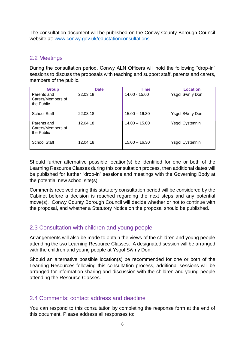The consultation document will be published on the Conwy County Borough Council website at: [www.conwy.gov.uk/eductationconsultations](http://www.conwy.gov.uk/eductationconsultations) 

#### 2.2 Meetings

During the consultation period, Conwy ALN Officers will hold the following "drop-in" sessions to discuss the proposals with teaching and support staff, parents and carers, members of the public.

| <b>Group</b>                                   | <b>Date</b> | <b>Time</b>     | Location               |
|------------------------------------------------|-------------|-----------------|------------------------|
| Parents and<br>Carers/Members of<br>the Public | 22.03.18    | 14.00 - 15.00   | Ysgol Sŵn y Don        |
| <b>School Staff</b>                            | 22.03.18    | $15.00 - 16.30$ | Ysgol Sŵn y Don        |
| Parents and<br>Carers/Members of<br>the Public | 12.04.18    | $14.00 - 15.00$ | <b>Ysgol Cystennin</b> |
| School Staff                                   | 12.04.18    | $15.00 - 16.30$ | <b>Ysgol Cystennin</b> |

Should further alternative possible location(s) be identified for one or both of the Learning Resource Classes during this consultation process, then additional dates will be published for further "drop-in" sessions and meetings with the Governing Body at the potential new school site(s).

Comments received during this statutory consultation period will be considered by the Cabinet before a decision is reached regarding the next steps and any potential move(s). Conwy County Borough Council will decide whether or not to continue with the proposal, and whether a Statutory Notice on the proposal should be published.

#### 2.3 Consultation with children and young people

Arrangements will also be made to obtain the views of the children and young people attending the two Learning Resource Classes. A designated session will be arranged with the children and young people at Ysgol Sŵn y Don.

Should an alternative possible location(s) be recommended for one or both of the Learning Resources following this consultation process, additional sessions will be arranged for information sharing and discussion with the children and young people attending the Resource Classes.

#### 2.4 Comments: contact address and deadline

You can respond to this consultation by completing the response form at the end of this document. Please address all responses to: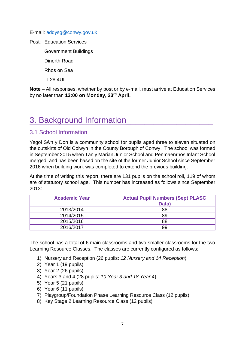E-mail: [addysg@conwy.gov.uk](mailto:addysg@conwy.gov.uk)

Post: Education Services

Government Buildings

Dinerth Road

Rhos on Sea

LL28 4UL

**Note** – All responses, whether by post or by e-mail, must arrive at Education Services by no later than **13:00 on Monday, 23rd April.**

### 3. Background Information\_\_\_\_\_\_\_\_\_\_\_\_\_\_\_\_\_\_\_

#### 3.1 School Information

Ysgol Sŵn y Don is a community school for pupils aged three to eleven situated on the outskirts of Old Colwyn in the County Borough of Conwy. The school was formed in September 2015 when Tan y Marian Junior School and Penmaenrhos Infant School merged, and has been based on the site of the former Junior School since September 2016 when building work was completed to extend the previous building.

At the time of writing this report, there are 131 pupils on the school roll, 119 of whom are of statutory school age. This number has increased as follows since September 2013:

| <b>Academic Year</b> | <b>Actual Pupil Numbers (Sept PLASC</b><br>Data) |
|----------------------|--------------------------------------------------|
| 2013/2014            | 88                                               |
| 2014/2015            | 89                                               |
| 2015/2016            | 88                                               |
| 2016/2017            | 99                                               |

The school has a total of 6 main classrooms and two smaller classrooms for the two Learning Resource Classes. The classes are currently configured as follows:

- 1) Nursery and Reception (26 pupils: *12 Nursery and 14 Reception*)
- 2) Year 1 (19 pupils)
- 3) Year 2 (26 pupils)
- 4) Years 3 and 4 (28 pupils: *10 Year 3 and 18 Year 4*)
- 5) Year 5 (21 pupils)
- 6) Year 6 (11 pupils)
- 7) Playgroup/Foundation Phase Learning Resource Class (12 pupils)
- 8) Key Stage 2 Learning Resource Class (12 pupils)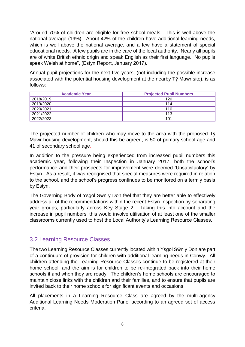"Around 70% of children are eligible for free school meals. This is well above the national average (19%). About 42% of the children have additional learning needs, which is well above the national average, and a few have a statement of special educational needs. A few pupils are in the care of the local authority. Nearly all pupils are of white British ethnic origin and speak English as their first language. No pupils speak Welsh at home", (Estyn Report, January 2017).

Annual pupil projections for the next five years, (not including the possible increase associated with the potential housing development at the nearby Tŷ Mawr site), is as follows:

| <b>Academic Year</b> | <b>Projected Pupil Numbers</b> |
|----------------------|--------------------------------|
| 2018/2019            | 120                            |
| 2019/2020            | 114                            |
| 2020/2021            | 110                            |
| 2021/2022            | 113                            |
| 2022/2023            | 101                            |

The projected number of children who may move to the area with the proposed Tŷ Mawr housing development, should this be agreed, is 50 of primary school age and 41 of secondary school age.

In addition to the pressure being experienced from increased pupil numbers this academic year, following their Inspection in January 2017, both the school's performance and their prospects for improvement were deemed 'Unsatisfactory' by Estyn. As a result, it was recognised that special measures were required in relation to the school, and the school's progress continues to be monitored on a termly basis by Estyn.

The Governing Body of Ysgol Sŵn y Don feel that they are better able to effectively address all of the recommendations within the recent Estyn Inspection by separating year groups, particularly across Key Stage 2. Taking this into account and the increase in pupil numbers, this would involve utilisation of at least one of the smaller classrooms currently used to host the Local Authority's Learning Resource Classes.

#### 3.2 Learning Resource Classes

The two Learning Resource Classes currently located within Ysgol Sŵn y Don are part of a continuum of provision for children with additional learning needs in Conwy. All children attending the Learning Resource Classes continue to be registered at their home school, and the aim is for children to be re-integrated back into their home schools if and when they are ready. The children's home schools are encouraged to maintain close links with the children and their families, and to ensure that pupils are invited back to their home schools for significant events and occasions.

All placements in a Learning Resource Class are agreed by the multi-agency Additional Learning Needs Moderation Panel according to an agreed set of access criteria.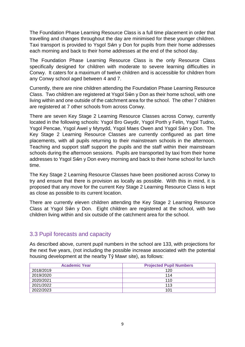The Foundation Phase Learning Resource Class is a full time placement in order that travelling and changes throughout the day are minimised for these younger children. Taxi transport is provided to Ysgol Sŵn y Don for pupils from their home addresses each morning and back to their home addresses at the end of the school day.

The Foundation Phase Learning Resource Class is the only Resource Class specifically designed for children with moderate to severe learning difficulties in Conwy. It caters for a maximum of twelve children and is accessible for children from any Conwy school aged between 4 and 7.

Currently, there are nine children attending the Foundation Phase Learning Resource Class. Two children are registered at Ysgol Sŵn y Don as their home school, with one living within and one outside of the catchment area for the school. The other 7 children are registered at 7 other schools from across Conwy.

There are seven Key Stage 2 Learning Resource Classes across Conwy, currently located in the following schools: Ysgol Bro Gwydir, Ysgol Porth y Felin, Ysgol Tudno, Ysgol Pencae, Ysgol Awel y Mynydd, Ysgol Maes Owen and Ysgol Sŵn y Don. The Key Stage 2 Learning Resource Classes are currently configured as part time placements, with all pupils returning to their mainstream schools in the afternoon. Teaching and support staff support the pupils and the staff within their mainstream schools during the afternoon sessions. Pupils are transported by taxi from their home addresses to Ysgol Sŵn y Don every morning and back to their home school for lunch time.

The Key Stage 2 Learning Resource Classes have been positioned across Conwy to try and ensure that there is provision as locally as possible. With this in mind, it is proposed that any move for the current Key Stage 2 Learning Resource Class is kept as close as possible to its current location.

There are currently eleven children attending the Key Stage 2 Learning Resource Class at Ysgol Sŵn y Don. Eight children are registered at the school, with two children living within and six outside of the catchment area for the school.

#### 3.3 Pupil forecasts and capacity

As described above, current pupil numbers in the school are 133, with projections for the next five years, (not including the possible increase associated with the potential housing development at the nearby Tŷ Mawr site), as follows:

| <b>Academic Year</b> | <b>Projected Pupil Numbers</b> |
|----------------------|--------------------------------|
| 2018/2019            | 120                            |
| 2019/2020            | 114                            |
| 2020/2021            | 110                            |
| 2021/2022            | 113                            |
| 2022/2023            | 101                            |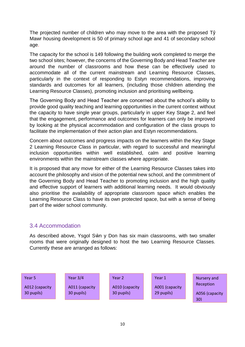The projected number of children who may move to the area with the proposed Tŷ Mawr housing development is 50 of primary school age and 41 of secondary school age.

The capacity for the school is 149 following the building work completed to merge the two school sites; however, the concerns of the Governing Body and Head Teacher are around the number of classrooms and how these can be effectively used to accommodate all of the current mainstream and Learning Resource Classes, particularly in the context of responding to Estyn recommendations, improving standards and outcomes for all learners, (including those children attending the Learning Resource Classes), promoting inclusion and prioritising wellbeing.

The Governing Body and Head Teacher are concerned about the school's ability to provide good quality teaching and learning opportunities in the current context without the capacity to have single year groups, particularly in upper Key Stage 2, and feel that the engagement, performance and outcomes for learners can only be improved by looking at the physical accommodation and configuration of the class groups to facilitate the implementation of their action plan and Estyn recommendations.

Concern about outcomes and progress impacts on the learners within the Key Stage 2 Learning Resource Class in particular, with regard to successful and meaningful inclusion opportunities within well established, calm and positive learning environments within the mainstream classes where appropriate.

It is proposed that any move for either of the Learning Resource Classes takes into account the philosophy and vision of the potential new school, and the commitment of the Governing Body and Head Teacher to promoting inclusion and the high quality and effective support of learners with additional learning needs. It would obviously also prioritise the availability of appropriate classroom space which enables the Learning Resource Class to have its own protected space, but with a sense of being part of the wider school community.

#### 3.4 Accommodation

As described above, Ysgol Sŵn y Don has six main classrooms, with two smaller rooms that were originally designed to host the two Learning Resource Classes. Currently these are arranged as follows:

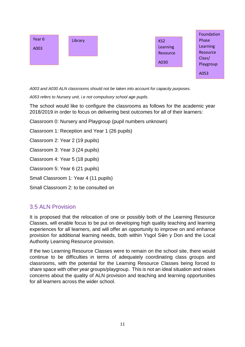

*A003 and A030 ALN classrooms should not be taken into account for capacity purposes.* 

*A053 refers to Nursery unit, i.e not compulsory school age pupils.*

The school would like to configure the classrooms as follows for the academic year 2018/2019 in order to focus on delivering best outcomes for all of their learners:

Classroom 0: Nursery and Playgroup (pupil numbers unknown)

Classroom 1: Reception and Year 1 (26 pupils)

Classroom 2: Year 2 (19 pupils)

Classroom 3: Year 3 (24 pupils)

Classroom 4: Year 5 (18 pupils)

Classroom 5: Year 6 (21 pupils)

Small Classroom 1: Year 4 (11 pupils)

Small Classroom 2: to be consulted on

#### 3.5 ALN Provision

It is proposed that the relocation of one or possibly both of the Learning Resource Classes, will enable focus to be put on developing high quality teaching and learning experiences for all learners, and will offer an opportunity to improve on and enhance provision for additional learning needs, both within Ysgol Sŵn y Don and the Local Authority Learning Resource provision.

If the two Learning Resource Classes were to remain on the school site, there would continue to be difficulties in terms of adequately coordinating class groups and classrooms, with the potential for the Learning Resource Classes being forced to share space with other year groups/playgroup. This is not an ideal situation and raises concerns about the quality of ALN provision and teaching and learning opportunities for all learners across the wider school.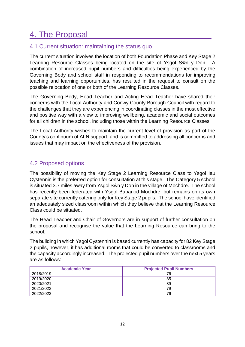# 4. The Proposal

#### 4.1 Current situation: maintaining the status quo

The current situation involves the location of both Foundation Phase and Key Stage 2 Learning Resource Classes being located on the site of Ysgol Sŵn y Don. A combination of increased pupil numbers and difficulties being experienced by the Governing Body and school staff in responding to recommendations for improving teaching and learning opportunities, has resulted in the request to consult on the possible relocation of one or both of the Learning Resource Classes.

The Governing Body, Head Teacher and Acting Head Teacher have shared their concerns with the Local Authority and Conwy County Borough Council with regard to the challenges that they are experiencing in coordinating classes in the most effective and positive way with a view to improving wellbeing, academic and social outcomes for all children in the school, including those within the Learning Resource Classes.

The Local Authority wishes to maintain the current level of provision as part of the County's continuum of ALN support, and is committed to addressing all concerns and issues that may impact on the effectiveness of the provision.

#### 4.2 Proposed options

The possibility of moving the Key Stage 2 Learning Resource Class to Ysgol Iau Cystennin is the preferred option for consultation at this stage. The Category 5 school is situated 3.7 miles away from Ysgol Sŵn y Don in the village of Mochdre. The school has recently been federated with Ysgol Babanod Mochdre, but remains on its own separate site currently catering only for Key Stage 2 pupils. The school have identified an adequately sized classroom within which they believe that the Learning Resource Class could be situated.

The Head Teacher and Chair of Governors are in support of further consultation on the proposal and recognise the value that the Learning Resource can bring to the school.

The building in which Ysgol Cystennin is based currently has capacity for 82 Key Stage 2 pupils, however, it has additional rooms that could be converted to classrooms and the capacity accordingly increased. The projected pupil numbers over the next 5 years are as follows:

| <b>Academic Year</b> | <b>Projected Pupil Numbers</b> |
|----------------------|--------------------------------|
| 2018/2019            | 76                             |
| 2019/2020            | 85                             |
| 2020/2021            | 89                             |
| 2021/2022            | 79                             |
| 2022/2023            | 76                             |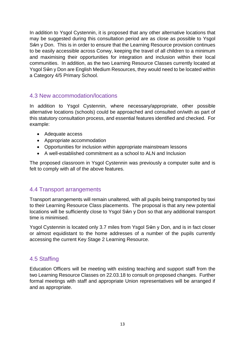In addition to Ysgol Cystennin, it is proposed that any other alternative locations that may be suggested during this consultation period are as close as possible to Ysgol Sŵn y Don. This is in order to ensure that the Learning Resource provision continues to be easily accessible across Conwy, keeping the travel of all children to a minimum and maximising their opportunities for integration and inclusion within their local communities. In addition, as the two Learning Resource Classes currently located at Ysgol Sŵn y Don are English Medium Resources, they would need to be located within a Category 4/5 Primary School.

#### 4.3 New accommodation/locations

In addition to Ysgol Cystennin, where necessary/appropriate, other possible alternative locations (schools) could be approached and consulted on/with as part of this statutory consultation process, and essential features identified and checked. For example:

- Adequate access
- Appropriate accommodation
- Opportunities for inclusion within appropriate mainstream lessons
- A well-established commitment as a school to ALN and Inclusion

The proposed classroom in Ysgol Cystennin was previously a computer suite and is felt to comply with all of the above features.

#### 4.4 Transport arrangements

Transport arrangements will remain unaltered, with all pupils being transported by taxi to their Learning Resource Class placements. The proposal is that any new potential locations will be sufficiently close to Ysgol Sŵn y Don so that any additional transport time is minimised.

Ysgol Cystennin is located only 3.7 miles from Ysgol Sŵn y Don, and is in fact closer or almost equidistant to the home addresses of a number of the pupils currently accessing the current Key Stage 2 Learning Resource.

#### 4.5 Staffing

Education Officers will be meeting with existing teaching and support staff from the two Learning Resource Classes on 22.03.18 to consult on proposed changes. Further formal meetings with staff and appropriate Union representatives will be arranged if and as appropriate.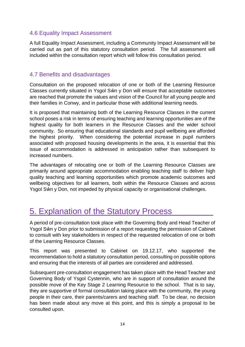#### 4.6 Equality Impact Assessment

A full Equality Impact Assessment, including a Community Impact Assessment will be carried out as part of this statutory consultation period. The full assessment will included within the consultation report which will follow this consultation period.

#### 4.7 Benefits and disadvantages

Consultation on the proposed relocation of one or both of the Learning Resource Classes currently situated in Ysgol Sŵn y Don will ensure that acceptable outcomes are reached that promote the values and vision of the Council for all young people and their families in Conwy, and in particular those with additional learning needs.

It is proposed that maintaining both of the Learning Resource Classes in the current school poses a risk in terms of ensuring teaching and learning opportunities are of the highest quality for both learners in the Resource Classes and the wider school community. So ensuring that educational standards and pupil wellbeing are afforded the highest priority. When considering the potential increase in pupil numbers associated with proposed housing developments in the area, it is essential that this issue of accommodation is addressed in anticipation rather than subsequent to increased numbers.

The advantages of relocating one or both of the Learning Resource Classes are primarily around appropriate accommodation enabling teaching staff to deliver high quality teaching and learning opportunities which promote academic outcomes and wellbeing objectives for all learners, both within the Resource Classes and across Ysgol Sŵn y Don, not impeded by physical capacity or organisational challenges.

### 5. Explanation of the Statutory Process

A period of pre-consultation took place with the Governing Body and Head Teacher of Ysgol Sŵn y Don prior to submission of a report requesting the permission of Cabinet to consult with key stakeholders in respect of the requested relocation of one or both of the Learning Resource Classes.

This report was presented to Cabinet on 19.12.17, who supported the recommendation to hold a statutory consultation period, consulting on possible options and ensuring that the interests of all parties are considered and addressed.

Subsequent pre-consultation engagement has taken place with the Head Teacher and Governing Body of Ysgol Cystennin, who are in support of consultation around the possible move of the Key Stage 2 Learning Resource to the school. That is to say, they are supportive of formal consultation taking place with the community, the young people in their care, their parents/carers and teaching staff. To be clear, no decision has been made about any move at this point, and this is simply a proposal to be consulted upon.